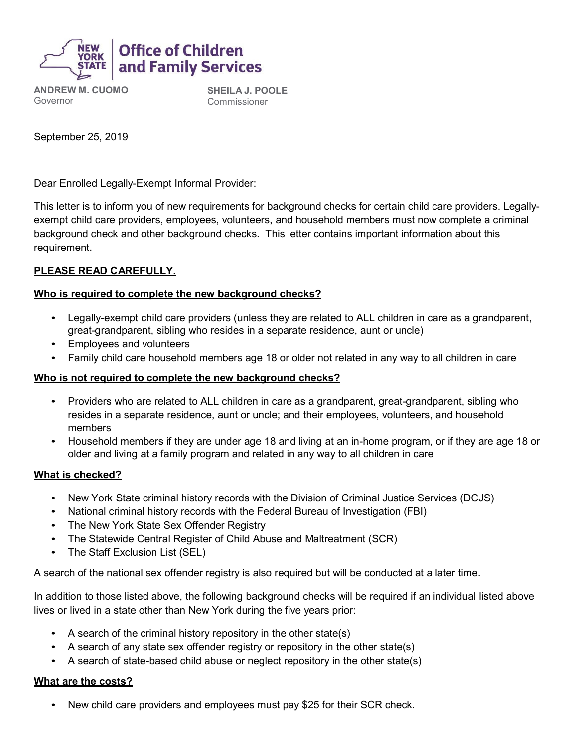

**ANDREW M. CUOMO** Governor

**SHEILA J. POOLE** Commissioner

September 25, 2019

Dear Enrolled Legally-Exempt Informal Provider:

This letter is to inform you of new requirements for background checks for certain child care providers. Legallyexempt child care providers, employees, volunteers, and household members must now complete a criminal background check and other background checks. This letter contains important information about this requirement.

### **PLEASE READ CAREFULLY.**

### **Who is required to complete the new background checks?**

- Legally-exempt child care providers (unless they are related to ALL children in care as a grandparent, great-grandparent, sibling who resides in a separate residence, aunt or uncle)
- Employees and volunteers
- Family child care household members age 18 or older not related in any way to all children in care

### **Who is not required to complete the new background checks?**

- Providers who are related to ALL children in care as a grandparent, great-grandparent, sibling who resides in a separate residence, aunt or uncle; and their employees, volunteers, and household members
- Household members if they are under age 18 and living at an in-home program, or if they are age 18 or older and living at a family program and related in any way to all children in care

### **What is checked?**

- New York State criminal history records with the Division of Criminal Justice Services (DCJS)
- National criminal history records with the Federal Bureau of Investigation (FBI)
- The New York State Sex Offender Registry
- The Statewide Central Register of Child Abuse and Maltreatment (SCR)
- The Staff Exclusion List (SEL)

A search of the national sex offender registry is also required but will be conducted at a later time.

In addition to those listed above, the following background checks will be required if an individual listed above lives or lived in a state other than New York during the five years prior:

- A search of the criminal history repository in the other state(s)
- A search of any state sex offender registry or repository in the other state(s)
- A search of state-based child abuse or neglect repository in the other state(s)

### **What are the costs?**

• New child care providers and employees must pay \$25 for their SCR check.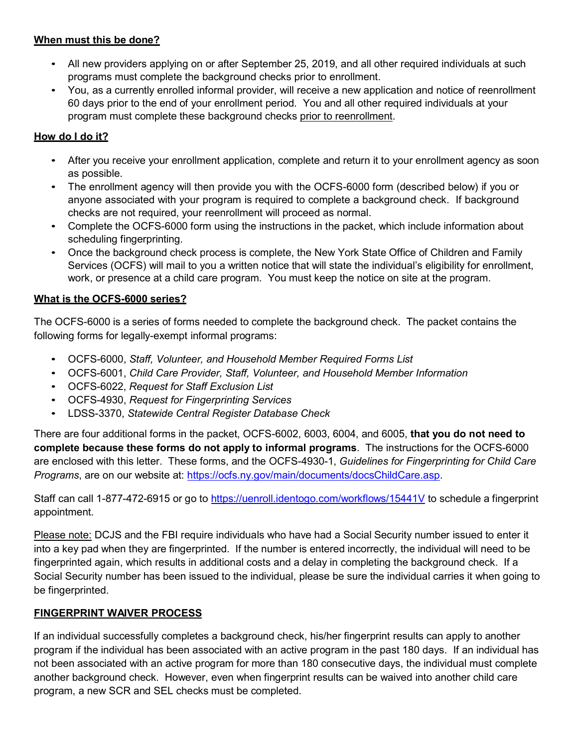### **When must this be done?**

- All new providers applying on or after September 25, 2019, and all other required individuals at such programs must complete the background checks prior to enrollment.
- You, as a currently enrolled informal provider, will receive a new application and notice of reenrollment 60 days prior to the end of your enrollment period. You and all other required individuals at your program must complete these background checks prior to reenrollment.

# **How do I do it?**

- After you receive your enrollment application, complete and return it to your enrollment agency as soon as possible.
- The enrollment agency will then provide you with the OCFS-6000 form (described below) if you or anyone associated with your program is required to complete a background check. If background checks are not required, your reenrollment will proceed as normal.
- Complete the OCFS-6000 form using the instructions in the packet, which include information about scheduling fingerprinting.
- Once the background check process is complete, the New York State Office of Children and Family Services (OCFS) will mail to you a written notice that will state the individual's eligibility for enrollment, work, or presence at a child care program. You must keep the notice on site at the program.

# **What is the OCFS-6000 series?**

The OCFS-6000 is a series of forms needed to complete the background check. The packet contains the following forms for legally-exempt informal programs:

- OCFS-6000, *Staff, Volunteer, and Household Member Required Forms List*
- OCFS-6001, *Child Care Provider, Staff, Volunteer, and Household Member Information*
- OCFS-6022, *Request for Staff Exclusion List*
- OCFS-4930, *Request for Fingerprinting Services*
- LDSS-3370, *Statewide Central Register Database Check*

There are four additional forms in the packet, OCFS-6002, 6003, 6004, and 6005, **that you do not need to complete because these forms do not apply to informal programs**. The instructions for the OCFS-6000 are enclosed with this letter. These forms, and the OCFS-4930-1, *Guidelines for Fingerprinting for Child Care Programs*, are on our website at: [https://ocfs.ny.gov/main/documents/docsChildCare.asp.](https://ocfs.ny.gov/main/documents/docsChildCare.asp)

Staff can call 1-877-472-6915 or go to<https://uenroll.identogo.com/workflows/15441V> to schedule a fingerprint appointment.

Please note: DCJS and the FBI require individuals who have had a Social Security number issued to enter it into a key pad when they are fingerprinted. If the number is entered incorrectly, the individual will need to be fingerprinted again, which results in additional costs and a delay in completing the background check. If a Social Security number has been issued to the individual, please be sure the individual carries it when going to be fingerprinted.

# **FINGERPRINT WAIVER PROCESS**

If an individual successfully completes a background check, his/her fingerprint results can apply to another program if the individual has been associated with an active program in the past 180 days. If an individual has not been associated with an active program for more than 180 consecutive days, the individual must complete another background check. However, even when fingerprint results can be waived into another child care program, a new SCR and SEL checks must be completed.